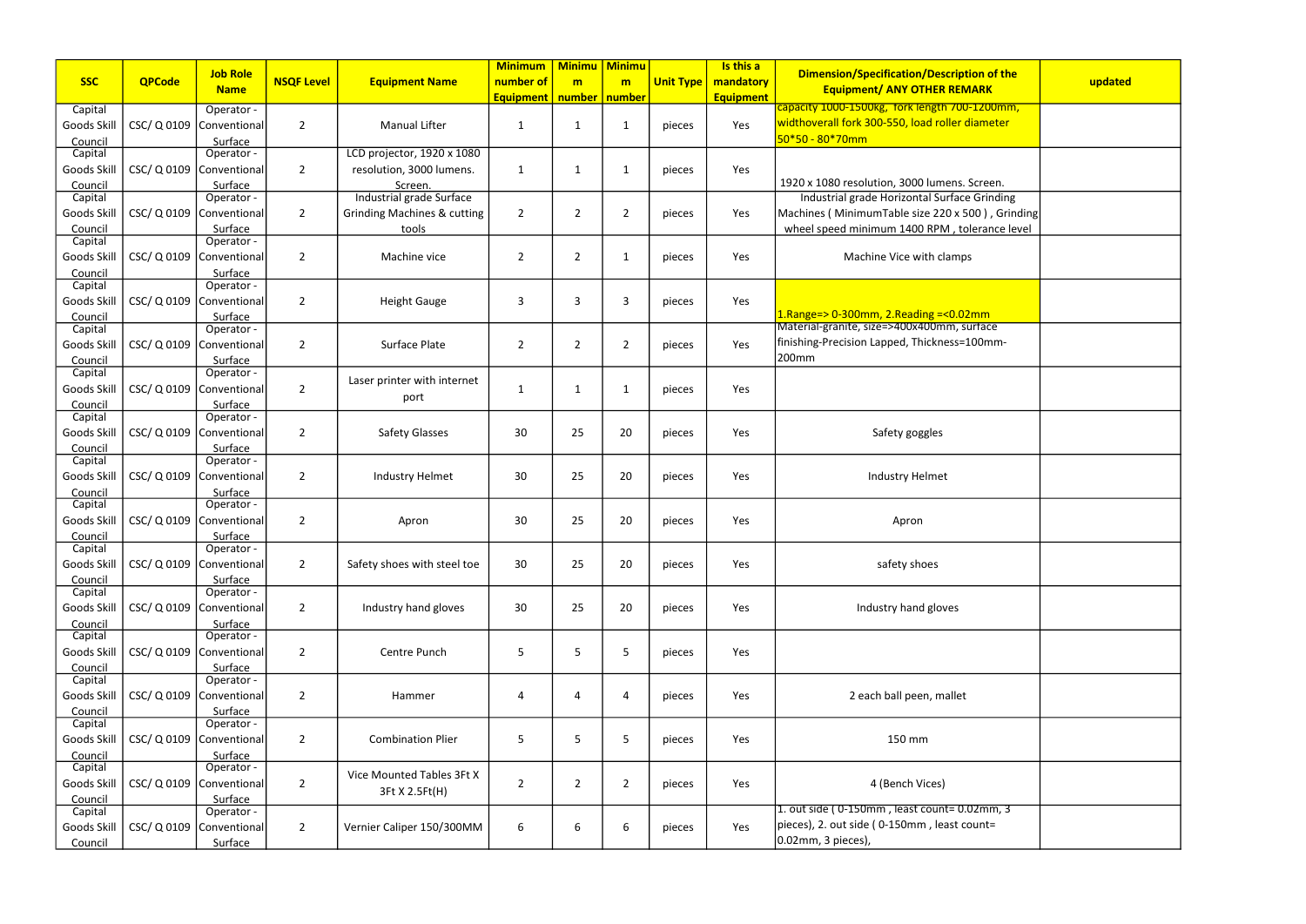|                    |                  | <b>Job Role</b>            |                   |                                        | <b>Minimum</b>   | <b>Minimu</b>   | <b>Minimu</b>  |                  | Is this a        | <b>Dimension/Specification/Description of the</b> |         |
|--------------------|------------------|----------------------------|-------------------|----------------------------------------|------------------|-----------------|----------------|------------------|------------------|---------------------------------------------------|---------|
| <b>SSC</b>         | <b>QPCode</b>    | <b>Name</b>                | <b>NSQF Level</b> | <b>Equipment Name</b>                  | number of        | m               | m              | <b>Unit Type</b> | mandatory        | <b>Equipment/ ANY OTHER REMARK</b>                | updated |
|                    |                  |                            |                   |                                        | <b>Equipment</b> | number   number |                |                  | <b>Equipment</b> |                                                   |         |
| Capital            |                  | Operator -                 |                   |                                        |                  |                 |                |                  |                  | capacity 1000-1500kg, fork length 700-1200mm,     |         |
| Goods Skill        |                  | CSC/ Q 0109   Conventional | $\overline{2}$    | <b>Manual Lifter</b>                   | 1                | $\mathbf{1}$    | 1              | pieces           | Yes              | widthoverall fork 300-550, load roller diameter   |         |
| Council            |                  | Surface                    |                   |                                        |                  |                 |                |                  |                  | $50*50 - 80*70mm$                                 |         |
| Capital            |                  | Operator -                 |                   | LCD projector, 1920 x 1080             |                  |                 |                |                  |                  |                                                   |         |
| Goods Skill        |                  | CSC/ Q 0109   Conventional | $\overline{2}$    | resolution, 3000 lumens.               | 1                | $\mathbf 1$     | 1              | pieces           | Yes              | 1920 x 1080 resolution, 3000 lumens. Screen.      |         |
| Council<br>Capital |                  | Surface<br>Operator -      |                   | Screen.<br>Industrial grade Surface    |                  |                 |                |                  |                  | Industrial grade Horizontal Surface Grinding      |         |
| Goods Skill        | $CSC/Q$ 0109     | Conventional               | $\overline{2}$    | <b>Grinding Machines &amp; cutting</b> | $\overline{2}$   | $\overline{2}$  | $\overline{2}$ | pieces           | Yes              | Machines (MinimumTable size 220 x 500), Grinding  |         |
|                    |                  |                            |                   |                                        |                  |                 |                |                  |                  |                                                   |         |
| Council<br>Capital |                  | Surface<br>Operator -      |                   | tools                                  |                  |                 |                |                  |                  | wheel speed minimum 1400 RPM, tolerance level     |         |
| Goods Skill        |                  | CSC/ Q 0109   Conventional | $\overline{2}$    | Machine vice                           | $\overline{2}$   | $\overline{2}$  | 1              | pieces           | Yes              | Machine Vice with clamps                          |         |
| Council            |                  | Surface                    |                   |                                        |                  |                 |                |                  |                  |                                                   |         |
| Capital            |                  | Operator -                 |                   |                                        |                  |                 |                |                  |                  |                                                   |         |
| Goods Skill        |                  | CSC/ Q 0109   Conventional | $\overline{2}$    | <b>Height Gauge</b>                    | 3                | 3               | 3              | pieces           | Yes              |                                                   |         |
| Council            |                  | Surface                    |                   |                                        |                  |                 |                |                  |                  | $1.$ Range=> 0-300mm, 2.Reading =< 0.02mm         |         |
| Capital            |                  | Operator -                 |                   |                                        |                  |                 |                |                  |                  | Material-granite, size=>400x400mm, surface        |         |
| Goods Skill        | $CSC/Q$ 0109 $ $ | Conventional               | $\overline{2}$    | Surface Plate                          | $\overline{2}$   | $\overline{2}$  | 2              | pieces           | Yes              | finishing-Precision Lapped, Thickness=100mm-      |         |
| Council            |                  | Surface                    |                   |                                        |                  |                 |                |                  |                  | 200mm                                             |         |
| Capital            |                  | Operator -                 |                   | Laser printer with internet            |                  |                 |                |                  |                  |                                                   |         |
| Goods Skill        |                  | CSC/ Q 0109   Conventional | $\overline{2}$    | port                                   | 1                | $\mathbf 1$     | 1              | pieces           | Yes              |                                                   |         |
| Council            |                  | Surface                    |                   |                                        |                  |                 |                |                  |                  |                                                   |         |
| Capital            |                  | Operator -                 |                   |                                        |                  |                 |                |                  |                  |                                                   |         |
| Goods Skill        |                  | CSC/ Q 0109   Conventional | $\overline{2}$    | <b>Safety Glasses</b>                  | 30               | 25              | 20             | pieces           | Yes              | Safety goggles                                    |         |
| Council            |                  | Surface                    |                   |                                        |                  |                 |                |                  |                  |                                                   |         |
| Capital            |                  | Operator -                 |                   |                                        |                  |                 |                |                  |                  |                                                   |         |
| Goods Skill        | $CSC/Q$ 0109 $ $ | Conventional               | $\overline{2}$    | Industry Helmet                        | 30               | 25              | 20             | pieces           | Yes              | <b>Industry Helmet</b>                            |         |
| Council<br>Capital |                  | Surface<br>Operator -      |                   |                                        |                  |                 |                |                  |                  |                                                   |         |
| Goods Skill        |                  | CSC/ Q 0109   Conventional | $\overline{2}$    | Apron                                  | 30               | 25              | 20             | pieces           | Yes              | Apron                                             |         |
| Council            |                  | Surface                    |                   |                                        |                  |                 |                |                  |                  |                                                   |         |
| Capital            |                  | Operator -                 |                   |                                        |                  |                 |                |                  |                  |                                                   |         |
| Goods Skill        |                  | CSC/ Q 0109   Conventional | $\overline{2}$    | Safety shoes with steel toe            | 30               | 25              | 20             | pieces           | Yes              | safety shoes                                      |         |
| Council            |                  | Surface                    |                   |                                        |                  |                 |                |                  |                  |                                                   |         |
| Capital            |                  | Operator -                 |                   |                                        |                  |                 |                |                  |                  |                                                   |         |
| Goods Skill        |                  | CSC/ Q 0109   Conventional | $\overline{2}$    | Industry hand gloves                   | 30               | 25              | 20             | pieces           | Yes              | Industry hand gloves                              |         |
| Council            |                  | Surface                    |                   |                                        |                  |                 |                |                  |                  |                                                   |         |
| Capital            |                  | Operator -                 |                   |                                        |                  |                 |                |                  |                  |                                                   |         |
| Goods Skill        |                  | CSC/ Q 0109   Conventional | $\overline{2}$    | Centre Punch                           | 5                | 5               | 5              | pieces           | Yes              |                                                   |         |
| Council            |                  | Surface                    |                   |                                        |                  |                 |                |                  |                  |                                                   |         |
| Capital            |                  | Operator -                 |                   |                                        |                  |                 |                |                  |                  |                                                   |         |
| Goods Skill        |                  | CSC/ Q 0109   Conventional | $\overline{2}$    | Hammer                                 | 4                | 4               | 4              | pieces           | Yes              | 2 each ball peen, mallet                          |         |
| Council            |                  | Surface                    |                   |                                        |                  |                 |                |                  |                  |                                                   |         |
| Capital            |                  | Operator -                 |                   |                                        |                  |                 |                |                  |                  |                                                   |         |
| Goods Skill        |                  | CSC/ Q 0109   Conventional | $\overline{2}$    | <b>Combination Plier</b>               | 5                | 5               | 5              | pieces           | Yes              | 150 mm                                            |         |
| Council<br>Capital |                  | Surface<br>Operator -      |                   |                                        |                  |                 |                |                  |                  |                                                   |         |
| Goods Skill        | $CSC/Q$ 0109 $ $ | Conventional               | $\overline{2}$    | Vice Mounted Tables 3Ft X              | $\overline{2}$   | $\overline{2}$  | $\overline{2}$ | pieces           | Yes              | 4 (Bench Vices)                                   |         |
| Council            |                  | Surface                    |                   | 3Ft X 2.5Ft(H)                         |                  |                 |                |                  |                  |                                                   |         |
| Capital            |                  | Operator -                 |                   |                                        |                  |                 |                |                  |                  | 1. out side (0-150mm, least count=0.02mm, 3       |         |
| Goods Skill        |                  | CSC/ Q 0109   Conventional | $\overline{2}$    | Vernier Caliper 150/300MM              | 6                | 6               | 6              | pieces           | Yes              | pieces), 2. out side (0-150mm, least count=       |         |
| Council            |                  | Surface                    |                   |                                        |                  |                 |                |                  |                  | 0.02mm, 3 pieces),                                |         |

| of the<br>K                        | updated |  |  |  |  |  |  |
|------------------------------------|---------|--|--|--|--|--|--|
| <mark>J0mm,</mark><br><u>ieter</u> |         |  |  |  |  |  |  |
| en.                                |         |  |  |  |  |  |  |
| inding<br>, Grinding<br>nce level  |         |  |  |  |  |  |  |
|                                    |         |  |  |  |  |  |  |
| ٦                                  |         |  |  |  |  |  |  |
| nm-                                |         |  |  |  |  |  |  |
|                                    |         |  |  |  |  |  |  |
|                                    |         |  |  |  |  |  |  |
|                                    |         |  |  |  |  |  |  |
|                                    |         |  |  |  |  |  |  |
|                                    |         |  |  |  |  |  |  |
|                                    |         |  |  |  |  |  |  |
|                                    |         |  |  |  |  |  |  |
|                                    |         |  |  |  |  |  |  |
|                                    |         |  |  |  |  |  |  |
|                                    |         |  |  |  |  |  |  |
| im, 3<br>$t =$                     |         |  |  |  |  |  |  |